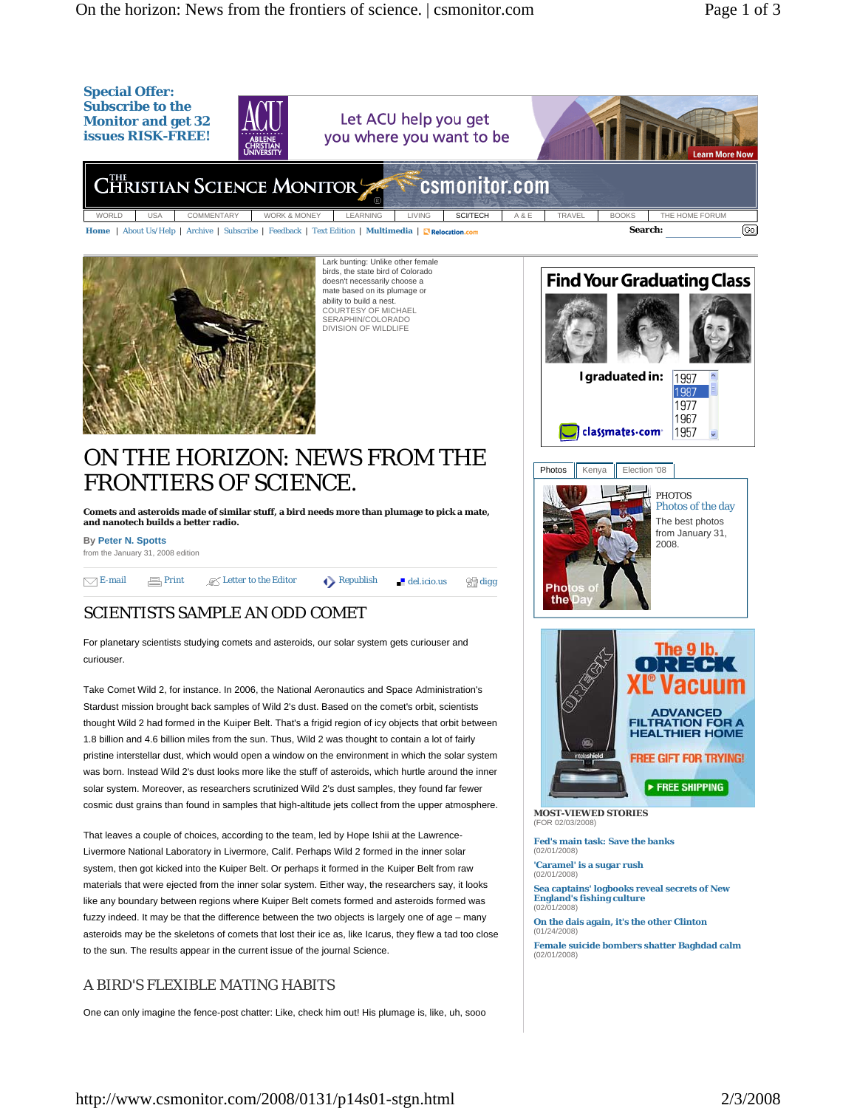